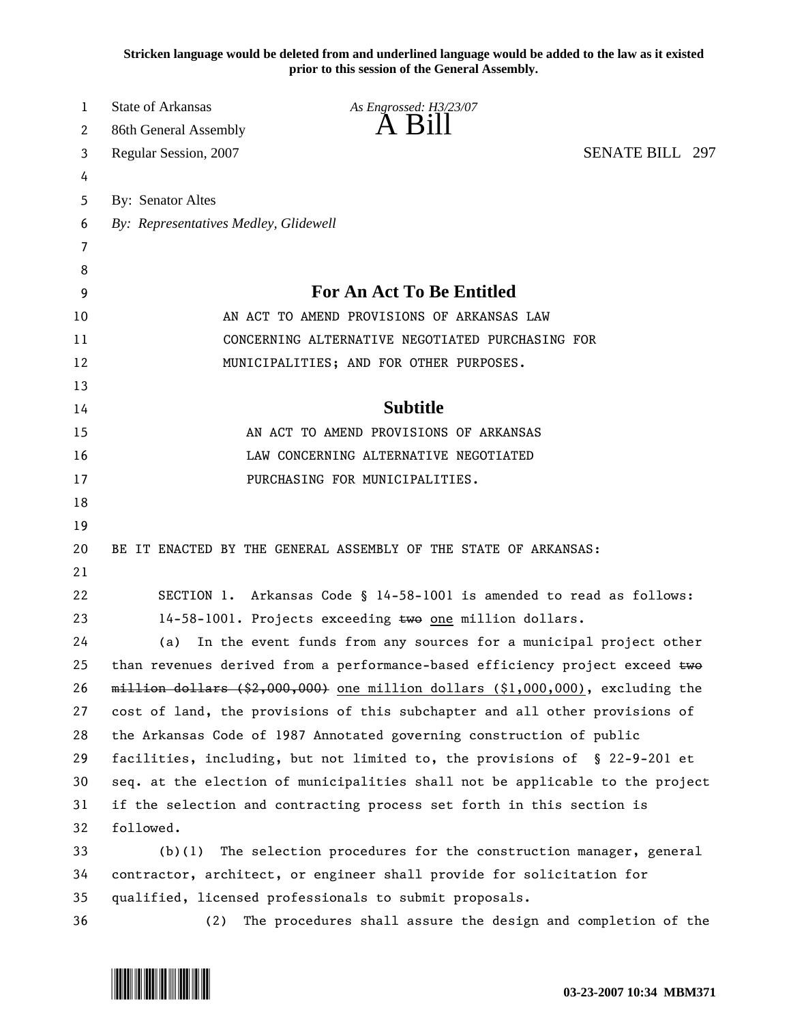**Stricken language would be deleted from and underlined language would be added to the law as it existed prior to this session of the General Assembly.**

| 1  | State of Arkansas<br>As Engrossed: H3/23/07                                       |
|----|-----------------------------------------------------------------------------------|
| 2  | $\overline{A}$ $\overline{B}1$<br>86th General Assembly                           |
| 3  | <b>SENATE BILL 297</b><br>Regular Session, 2007                                   |
| 4  |                                                                                   |
| 5  | By: Senator Altes                                                                 |
| 6  | By: Representatives Medley, Glidewell                                             |
| 7  |                                                                                   |
| 8  |                                                                                   |
| 9  | For An Act To Be Entitled                                                         |
| 10 | AN ACT TO AMEND PROVISIONS OF ARKANSAS LAW                                        |
| 11 | CONCERNING ALTERNATIVE NEGOTIATED PURCHASING FOR                                  |
| 12 | MUNICIPALITIES; AND FOR OTHER PURPOSES.                                           |
| 13 |                                                                                   |
| 14 | <b>Subtitle</b>                                                                   |
| 15 | AN ACT TO AMEND PROVISIONS OF ARKANSAS                                            |
| 16 | LAW CONCERNING ALTERNATIVE NEGOTIATED                                             |
| 17 | PURCHASING FOR MUNICIPALITIES.                                                    |
| 18 |                                                                                   |
| 19 |                                                                                   |
| 20 | BE IT ENACTED BY THE GENERAL ASSEMBLY OF THE STATE OF ARKANSAS:                   |
| 21 |                                                                                   |
| 22 | SECTION 1. Arkansas Code § 14-58-1001 is amended to read as follows:              |
| 23 | 14-58-1001. Projects exceeding two one million dollars.                           |
| 24 | In the event funds from any sources for a municipal project other<br>(a)          |
| 25 | than revenues derived from a performance-based efficiency project exceed two      |
| 26 | $m$ illion dollars (\$2,000,000) one million dollars (\$1,000,000), excluding the |
| 27 | cost of land, the provisions of this subchapter and all other provisions of       |
| 28 | the Arkansas Code of 1987 Annotated governing construction of public              |
| 29 | facilities, including, but not limited to, the provisions of § 22-9-201 et        |
| 30 | seq. at the election of municipalities shall not be applicable to the project     |
| 31 | if the selection and contracting process set forth in this section is             |
| 32 | followed.                                                                         |
| 33 | The selection procedures for the construction manager, general<br>(b)(1)          |
| 34 | contractor, architect, or engineer shall provide for solicitation for             |
| 35 | qualified, licensed professionals to submit proposals.                            |
| 36 | The procedures shall assure the design and completion of the<br>(2)               |

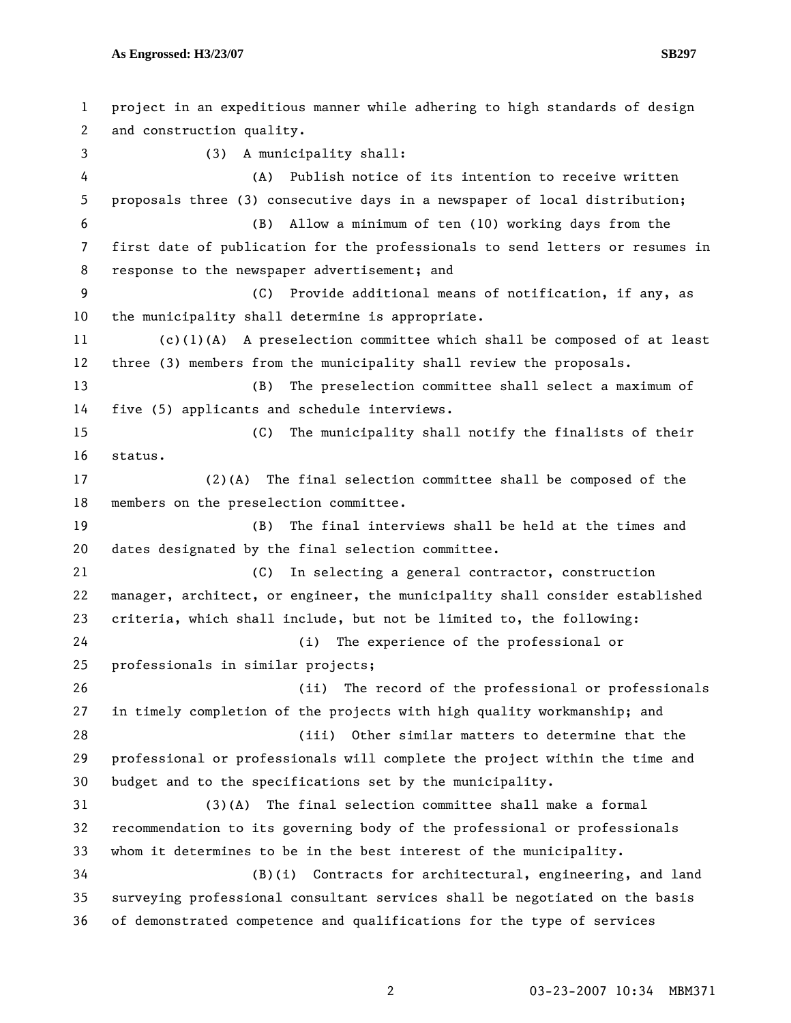**As Engrossed: H3/23/07 SB297** 

1 project in an expeditious manner while adhering to high standards of design 2 and construction quality. 3 (3) A municipality shall: 4 (A) Publish notice of its intention to receive written 5 proposals three (3) consecutive days in a newspaper of local distribution; 6 (B) Allow a minimum of ten (10) working days from the 7 first date of publication for the professionals to send letters or resumes in 8 response to the newspaper advertisement; and 9 (C) Provide additional means of notification, if any, as 10 the municipality shall determine is appropriate. 11 (c)(1)(A) A preselection committee which shall be composed of at least 12 three (3) members from the municipality shall review the proposals. 13 (B) The preselection committee shall select a maximum of 14 five (5) applicants and schedule interviews. 15 (C) The municipality shall notify the finalists of their 16 status. 17 (2)(A) The final selection committee shall be composed of the 18 members on the preselection committee. 19 (B) The final interviews shall be held at the times and 20 dates designated by the final selection committee. 21 (C) In selecting a general contractor, construction 22 manager, architect, or engineer, the municipality shall consider established 23 criteria, which shall include, but not be limited to, the following: 24 (i) The experience of the professional or 25 professionals in similar projects; 26 (ii) The record of the professional or professionals 27 in timely completion of the projects with high quality workmanship; and 28 (iii) Other similar matters to determine that the 29 professional or professionals will complete the project within the time and 30 budget and to the specifications set by the municipality. 31 (3)(A) The final selection committee shall make a formal 32 recommendation to its governing body of the professional or professionals 33 whom it determines to be in the best interest of the municipality. 34 (B)(i) Contracts for architectural, engineering, and land 35 surveying professional consultant services shall be negotiated on the basis 36 of demonstrated competence and qualifications for the type of services

2 03-23-2007 10:34 MBM371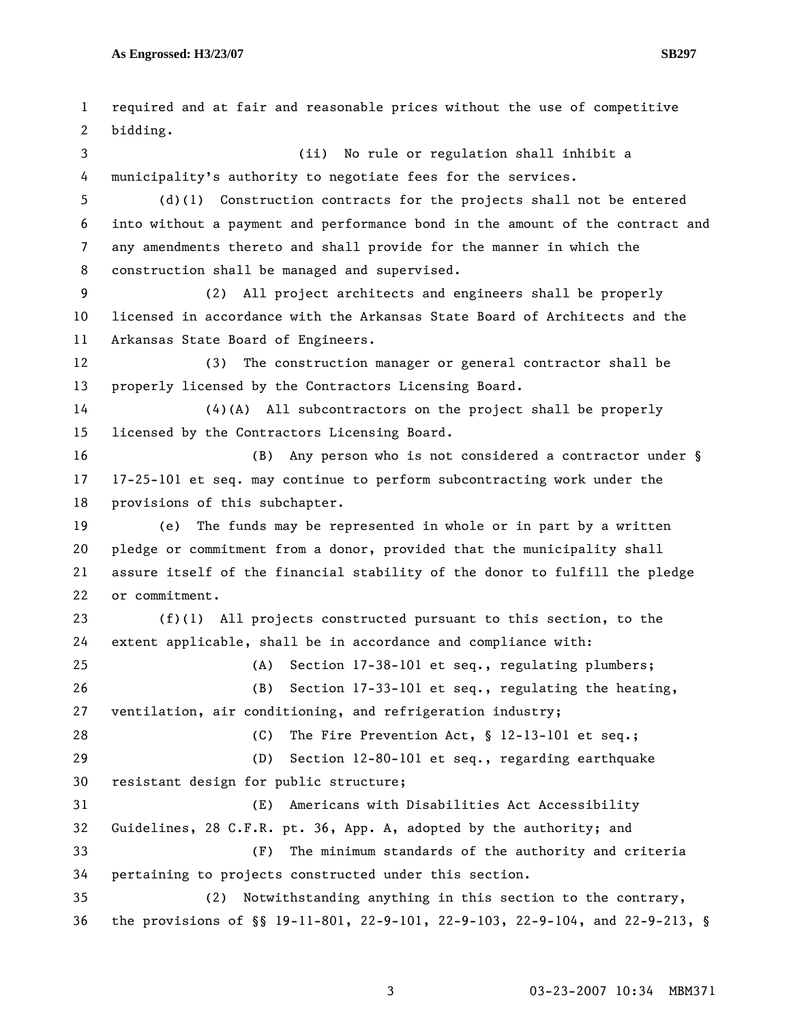1 required and at fair and reasonable prices without the use of competitive 2 bidding. 3 (ii) No rule or regulation shall inhibit a 4 municipality's authority to negotiate fees for the services. 5 (d)(1) Construction contracts for the projects shall not be entered 6 into without a payment and performance bond in the amount of the contract and 7 any amendments thereto and shall provide for the manner in which the 8 construction shall be managed and supervised. 9 (2) All project architects and engineers shall be properly 10 licensed in accordance with the Arkansas State Board of Architects and the 11 Arkansas State Board of Engineers. 12 (3) The construction manager or general contractor shall be 13 properly licensed by the Contractors Licensing Board. 14 (4)(A) All subcontractors on the project shall be properly 15 licensed by the Contractors Licensing Board. 16 (B) Any person who is not considered a contractor under § 17 17-25-101 et seq. may continue to perform subcontracting work under the 18 provisions of this subchapter. 19 (e) The funds may be represented in whole or in part by a written 20 pledge or commitment from a donor, provided that the municipality shall 21 assure itself of the financial stability of the donor to fulfill the pledge 22 or commitment. 23 (f)(1) All projects constructed pursuant to this section, to the 24 extent applicable, shall be in accordance and compliance with: 25 (A) Section 17-38-101 et seq., regulating plumbers; 26 (B) Section 17-33-101 et seq., regulating the heating, 27 ventilation, air conditioning, and refrigeration industry; 28 (C) The Fire Prevention Act, § 12-13-101 et seq.; 29 (D) Section 12-80-101 et seq., regarding earthquake 30 resistant design for public structure; 31 (E) Americans with Disabilities Act Accessibility 32 Guidelines, 28 C.F.R. pt. 36, App. A, adopted by the authority; and 33 (F) The minimum standards of the authority and criteria 34 pertaining to projects constructed under this section. 35 (2) Notwithstanding anything in this section to the contrary, 36 the provisions of §§ 19-11-801, 22-9-101, 22-9-103, 22-9-104, and 22-9-213, §